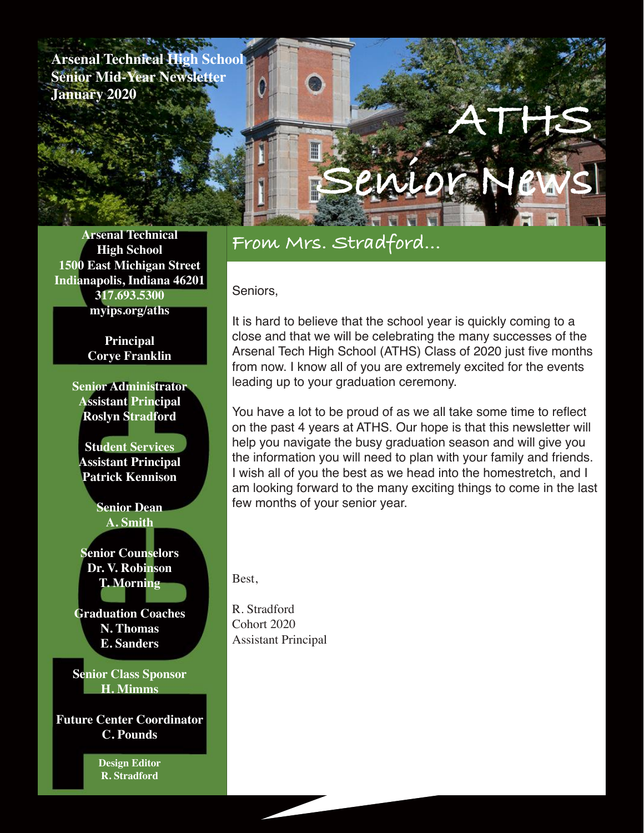**Arsenal Technical High School Senior Mid-Year Newsletter January 2020**

# **From Mrs. Stradford...**

#### Seniors,

It is hard to believe that the school year is quickly coming to a close and that we will be celebrating the many successes of the Arsenal Tech High School (ATHS) Class of 2020 just five months from now. I know all of you are extremely excited for the events leading up to your graduation ceremony.

**Senior News**

**ATHS**

You have a lot to be proud of as we all take some time to reflect on the past 4 years at ATHS. Our hope is that this newsletter will help you navigate the busy graduation season and will give you the information you will need to plan with your family and friends. I wish all of you the best as we head into the homestretch, and I am looking forward to the many exciting things to come in the last few months of your senior year.

Best,

R. Stradford Cohort 2020 Assistant Principal

**Arsenal Technical High School 1500 East Michigan Street Indianapolis, Indiana 46201 317.693.5300 myips.org/aths**

> **Principal Corye Franklin**

**Senior Administrator Assistant Principal Roslyn Stradford**

**Student Services Assistant Principal Patrick Kennison**

> **Senior Dean A. Smith**

**Senior Counselors Dr. V. Robinson T. Morning**

**Graduation Coaches N. Thomas E. Sanders**

**Senior Class Sponsor H. Mimms**

**Future Center Coordinator C. Pounds**

> **Design Editor R. Stradford**